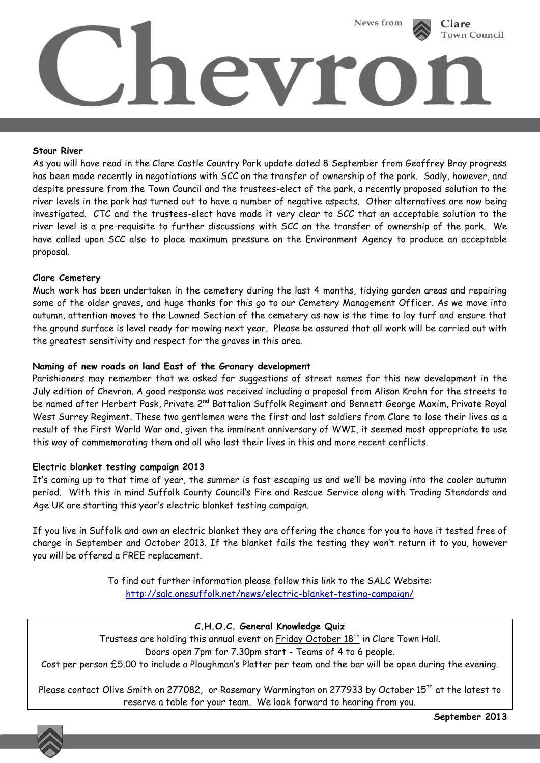

#### **Stour River**

As you will have read in the Clare Castle Country Park update dated 8 September from Geoffrey Bray progress has been made recently in negotiations with SCC on the transfer of ownership of the park. Sadly, however, and despite pressure from the Town Council and the trustees-elect of the park, a recently proposed solution to the river levels in the park has turned out to have a number of negative aspects. Other alternatives are now being investigated. CTC and the trustees-elect have made it very clear to SCC that an acceptable solution to the river level is a pre-requisite to further discussions with SCC on the transfer of ownership of the park. We have called upon SCC also to place maximum pressure on the Environment Agency to produce an acceptable proposal.

### **Clare Cemetery**

Much work has been undertaken in the cemetery during the last 4 months, tidying garden areas and repairing some of the older graves, and huge thanks for this go to our Cemetery Management Officer. As we move into autumn, attention moves to the Lawned Section of the cemetery as now is the time to lay turf and ensure that the ground surface is level ready for mowing next year. Please be assured that all work will be carried out with the greatest sensitivity and respect for the graves in this area.

### **Naming of new roads on land East of the Granary development**

Parishioners may remember that we asked for suggestions of street names for this new development in the July edition of Chevron. A good response was received including a proposal from Alison Krohn for the streets to be named after Herbert Pask, Private 2<sup>nd</sup> Battalion Suffolk Regiment and Bennett George Maxim, Private Royal West Surrey Regiment. These two gentlemen were the first and last soldiers from Clare to lose their lives as a result of the First World War and, given the imminent anniversary of WWI, it seemed most appropriate to use this way of commemorating them and all who lost their lives in this and more recent conflicts.

#### **Electric blanket testing campaign 2013**

It's coming up to that time of year, the summer is fast escaping us and we'll be moving into the cooler autumn period. With this in mind Suffolk County Council's Fire and Rescue Service along with Trading Standards and Age UK are starting this year's electric blanket testing campaign.

If you live in Suffolk and own an electric blanket they are offering the chance for you to have it tested free of charge in September and October 2013. If the blanket fails the testing they won't return it to you, however you will be offered a FREE replacement.

> To find out further information please follow this link to the SALC Website: <http://salc.onesuffolk.net/news/electric-blanket-testing-campaign/>

# **C.H.O.C. General Knowledge Quiz**

Trustees are holding this annual event on Friday October 18<sup>th</sup> in Clare Town Hall.

Doors open 7pm for 7.30pm start - Teams of 4 to 6 people.

Cost per person £5.00 to include a Ploughman's Platter per team and the bar will be open during the evening.

Please contact Olive Smith on 277082, or Rosemary Warmington on 277933 by October 15<sup>th</sup> at the latest to reserve a table for your team. We look forward to hearing from you.